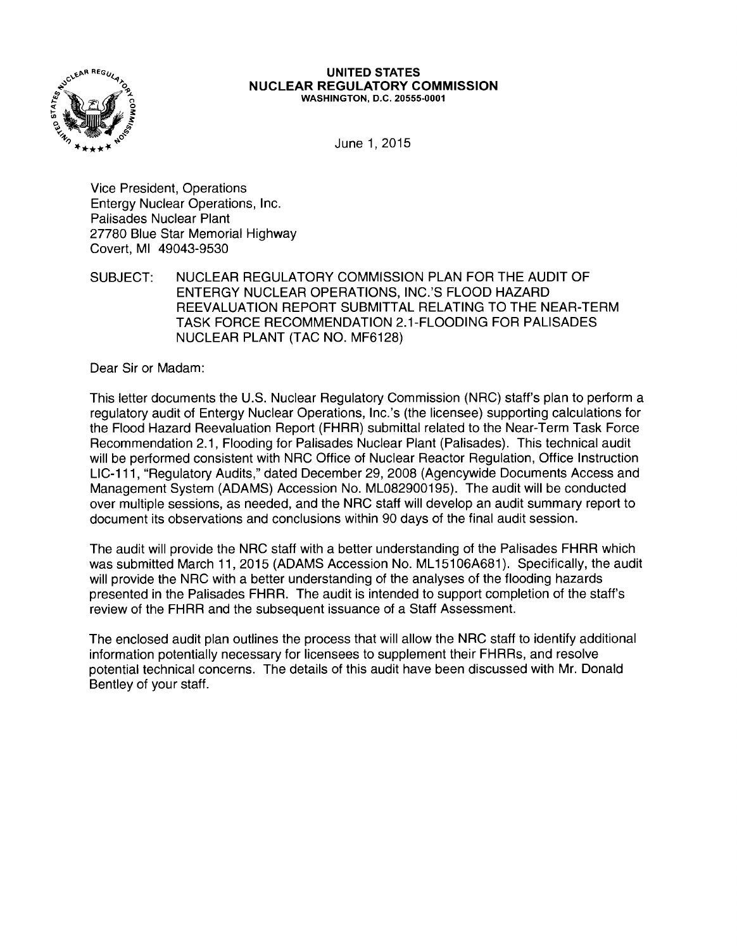

#### UNITED STATES NUCLEAR REGULATORY COMMISSION WASHINGTON, D.C. 20555-0001

June 1, 2015

Vice President, Operations Entergy Nuclear Operations, Inc. Palisades Nuclear Plant 27780 Blue Star Memorial Highway Covert, Ml 49043-9530

SUBJECT: NUCLEAR REGULATORY COMMISSION PLAN FOR THE AUDIT OF ENTERGY NUCLEAR OPERATIONS, INC.'S FLOOD HAZARD REEVALUATION REPORT SUBMITTAL RELATING TO THE NEAR-TERM TASK FORCE RECOMMENDATION 2.1-FLOODING FOR PALISADES NUCLEAR PLANT (TAC NO. MF6128)

Dear Sir or Madam:

This letter documents the U.S. Nuclear Regulatory Commission (NRC) staff's plan to perform a regulatory audit of Entergy Nuclear Operations, lnc.'s (the licensee) supporting calculations for the Flood Hazard Reevaluation Report (FHRR) submittal related to the Near-Term Task Force Recommendation 2.1, Flooding for Palisades Nuclear Plant (Palisades). This technical audit will be performed consistent with NRC Office of Nuclear Reactor Regulation, Office Instruction LIC-111, "Regulatory Audits," dated December 29, 2008 (Agencywide Documents Access and Management System (ADAMS) Accession No. ML082900195). The audit will be conducted over multiple sessions, as needed, and the NRC staff will develop an audit summary report to document its observations and conclusions within 90 days of the final audit session.

The audit will provide the NRC staff with a better understanding of the Palisades FHRR which was submitted March 11, 2015 (ADAMS Accession No. ML15106A681). Specifically, the audit will provide the NRC with a better understanding of the analyses of the flooding hazards presented in the Palisades FHRR. The audit is intended to support completion of the staff's review of the FHRR and the subsequent issuance of a Staff Assessment.

The enclosed audit plan outlines the process that will allow the NRC staff to identify additional information potentially necessary for licensees to supplement their FHRRs, and resolve potential technical concerns. The details of this audit have been discussed with Mr. Donald Bentley of your staff.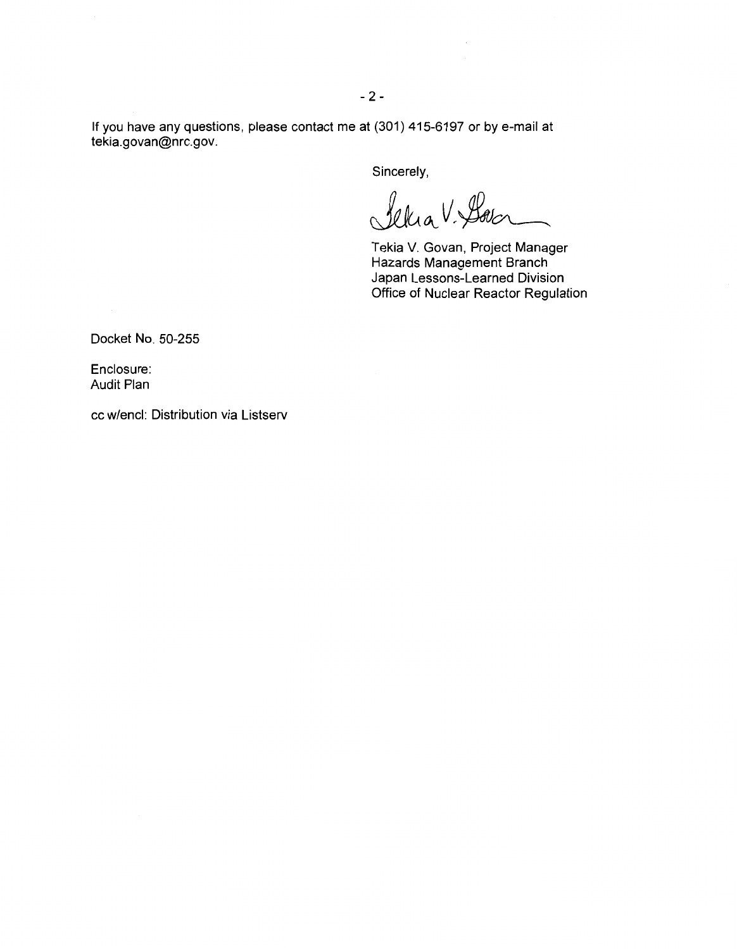If you have any questions, please contact me at (301) 415-6197 or by e-mail at tekia.govan@nrc.gov.

Sincerely,

Selia V. Sover

Tekia V. Govan, Project Manager Hazards Management Branch Japan Lessons-Learned Division Office of Nuclear Reactor Regulation

Docket No. 50-255

Enclosure: Audit Plan

cc w/encl: Distribution via Listserv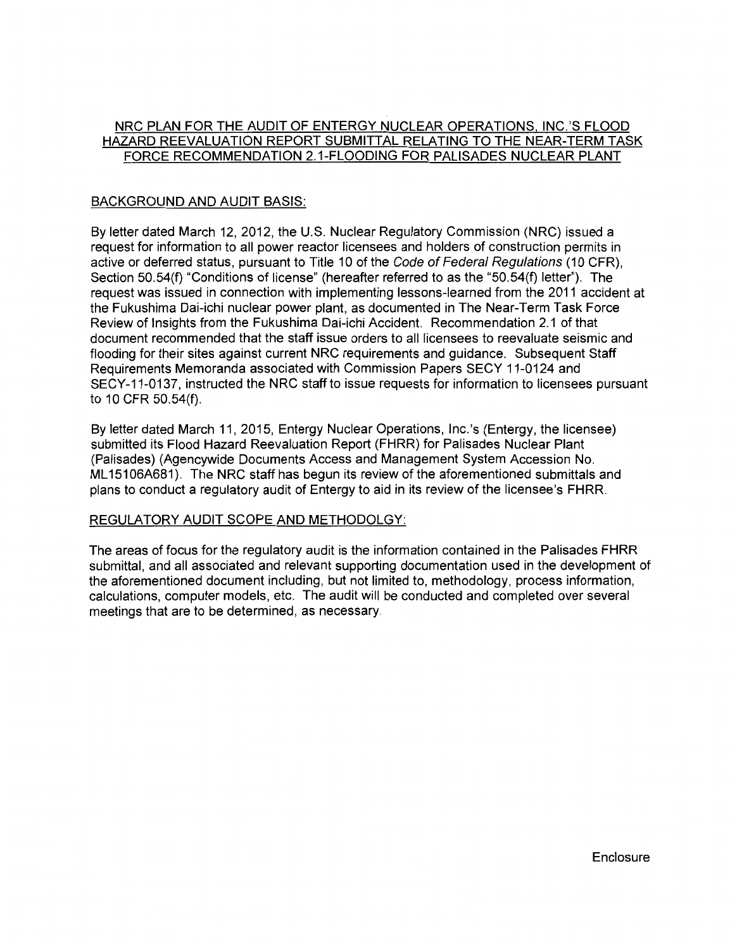# NRC PLAN FOR THE AUDIT OF ENTERGY NUCLEAR OPERATIONS. INC.'S FLOOD HAZARD REEVALUATION REPORT SUBMITTAL RELATING TO THE NEAR-TERM TASK FORCE RECOMMENDATION 2.1-FLOODING FOR PALISADES NUCLEAR PLANT

# BACKGROUND AND AUDIT BASIS:

By letter dated March 12, 2012, the U.S. Nuclear Regulatory Commission (NRC) issued a request for information to all power reactor licensees and holders of construction permits in active or deferred status, pursuant to Title 10 of the Code of Federal Regulations (10 CFR), Section 50.54(f) "Conditions of license" (hereafter referred to as the "50.54(f) letter"). The request was issued in connection with implementing lessons-learned from the 2011 accident at the Fukushima Dai-ichi nuclear power plant, as documented in The Near-Term Task Force Review of Insights from the Fukushima Dai-ichi Accident. Recommendation 2.1 of that document recommended that the staff issue orders to all licensees to reevaluate seismic and flooding for their sites against current NRC requirements and guidance. Subsequent Staff Requirements Memoranda associated with Commission Papers SECY 11-0124 and SECY-11-0137, instructed the NRC staff to issue requests for information to licensees pursuant to 10 CFR 50.54(f).

By letter dated March 11, 2015, Entergy Nuclear Operations, lnc.'s (Entergy, the licensee) submitted its Flood Hazard Reevaluation Report (FHRR) for Palisades Nuclear Plant (Palisades) (Agencywide Documents Access and Management System Accession No. ML15106A681). The NRC staff has begun its review of the aforementioned submittals and plans to conduct a regulatory audit of Entergy to aid in its review of the licensee's FHRR.

# REGULATORY AUDIT SCOPE AND METHODOLGY:

The areas of focus for the regulatory audit is the information contained in the Palisades FHRR submittal, and all associated and relevant supporting documentation used in the development of the aforementioned document including, but not limited to, methodology, process information, calculations, computer models, etc. The audit will be conducted and completed over several meetings that are to be determined, as necessary.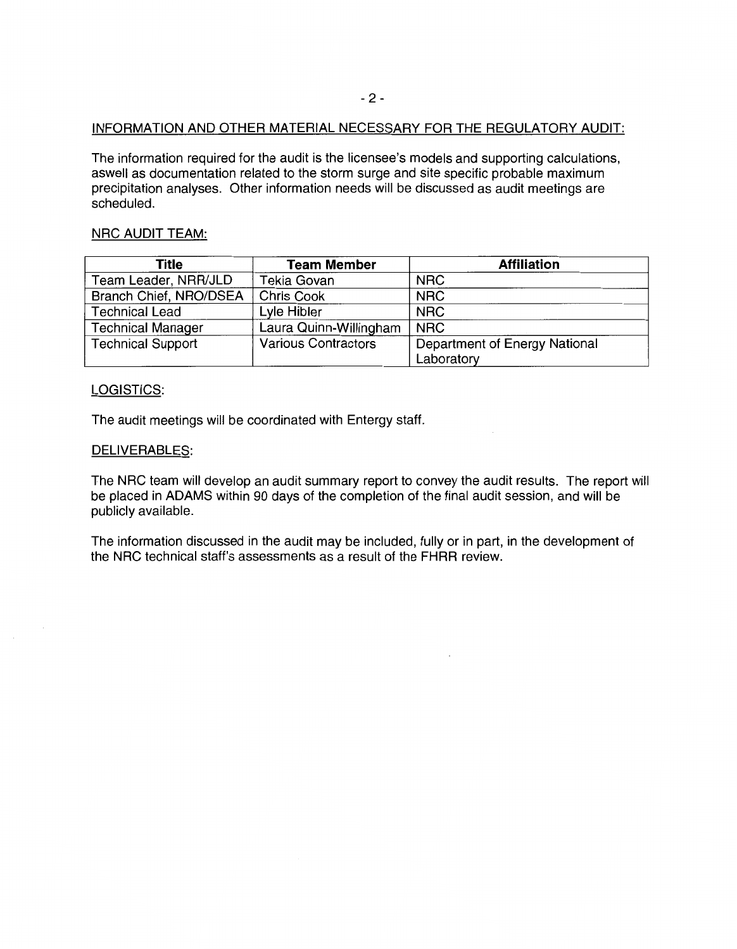### INFORMATION AND OTHER MATERIAL NECESSARY FOR THE REGULATORY AUDIT:

The information required for the audit is the licensee's models and supporting calculations, aswell as documentation related to the storm surge and site specific probable maximum precipitation analyses. Other information needs will be discussed as audit meetings are scheduled.

## NRC AUDIT TEAM:

| Title                    | <b>Team Member</b>         | <b>Affiliation</b>            |  |
|--------------------------|----------------------------|-------------------------------|--|
| Team Leader, NRR/JLD     | Tekia Govan                | <b>NRC</b>                    |  |
| Branch Chief, NRO/DSEA   | Chris Cook                 | <b>NRC</b>                    |  |
| <b>Technical Lead</b>    | Lyle Hibler                | <b>NRC</b>                    |  |
| <b>Technical Manager</b> | Laura Quinn-Willingham     | <b>NRC</b>                    |  |
| <b>Technical Support</b> | <b>Various Contractors</b> | Department of Energy National |  |
|                          |                            | Laboratory                    |  |

# LOGISTICS:

The audit meetings will be coordinated with Entergy staff.

### DELIVERABLES:

The NRC team will develop an audit summary report to convey the audit results. The report will be placed in ADAMS within 90 days of the completion of the final audit session, and will be publicly available.

The information discussed in the audit may be included, fully or in part, in the development of the NRC technical staff's assessments as a result of the FHRR review.